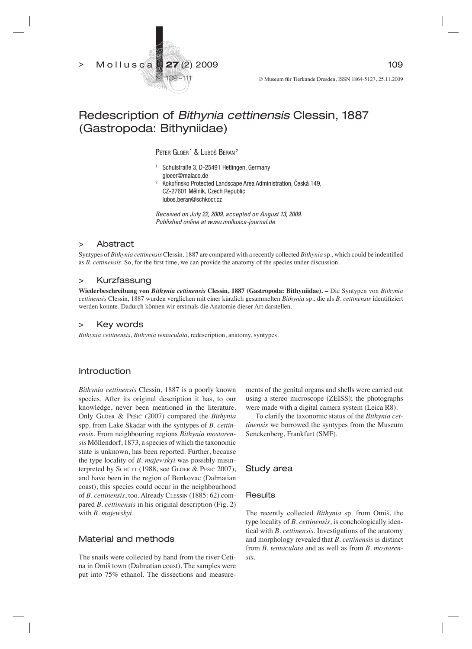27 (2) 2009 > Mollusca



# Redescription of *Bithynia cettinensis* Clessin, 1887 (Gastropoda: Bithyniidae)

Peter Glöer <sup>1</sup> & Luboš Beran <sup>2</sup>

- 1 Schulstraße 3, D-25491 Hetlingen, Germany gloeer@malaco.de
- 2 Kokořínsko Protected Landscape Area Administration, Česká 149, CZ-27601 Mělník, Czech Republic lubos.beran@schkocr.cz

*Received on July 22, 2009, accepted on August 13, 2009. Published online at www.mollusca-journal.de*

# > Abstract

Syntypes of *Bithynia cettinensis* Clessin, 1887 are compared with a recently collected *Bithynia* sp., which could be indentified as *B. cettinensis*. So, for the first time, we can provide the anatomy of the species under discussion.

## > Kurzfassung

**Wiederbeschreibung von** *Bithynia cettinensis* **Clessin, 1887 (Gastropoda: Bithyniidae). –** Die Syntypen von *Bithynia cettinensis* Clessin, 1887 wurden verglichen mit einer kürzlich gesammelten *Bithynia* sp., die als *B. cettinensis* identifiziert werden konnte. Dadurch können wir erstmals die Anatomie dieser Art darstellen.

# > Key words

*Bithynia cettinensis*, *Bithynia tentaculata*, redescription, anatomy, syntypes.

# Introduction

*Bithynia cettinensis* Clessin, 1887 is a poorly known species. After its original description it has, to our knowledge, never been mentioned in the literature. Only GLÖER & PEŠIĆ (2007) compared the *Bithynia* spp. from Lake Skadar with the syntypes of *B. cettinensis*. From neighbouring regions *Bithynia mostarensis* Möllendorf, 1873, a species of which the taxonomic state is unknown, has been reported. Further, because the type locality of *B. majewskyi* was possibly misinterpreted by SCHÜTT (1988, see GLÖER & PEŠIĆ 2007), and have been in the region of Benkovac (Dalmatian coast), this species could occur in the neighbourhood of *B. cettinensis*, too. Already CLESSIN (1885: 62) compared *B. cettinensis* in his original description (Fig. 2) with *B. majewskyi*.

# Material and methods

The snails were collected by hand from the river Cetina in Omiš town (Dalmatian coast). The samples were put into 75% ethanol. The dissections and measurements of the genital organs and shells were carried out using a stereo microscope (ZEISS); the photographs were made with a digital camera system (Leica R8).

 To clarify the taxonomic status of the *Bithynia cettinensis* we borrowed the syntypes from the Museum Senckenberg, Frankfurt (SMF).

#### Study area

#### **Results**

The recently collected *Bithynia* sp. from Omiš, the type locality of *B. cettinensis*, is conchologically identical with *B. cettinensis*. Investigations of the anatomy and morphology revealed that *B. cettinensis* is distinct from *B. tentaculata* and as well as from *B. mostarensis*.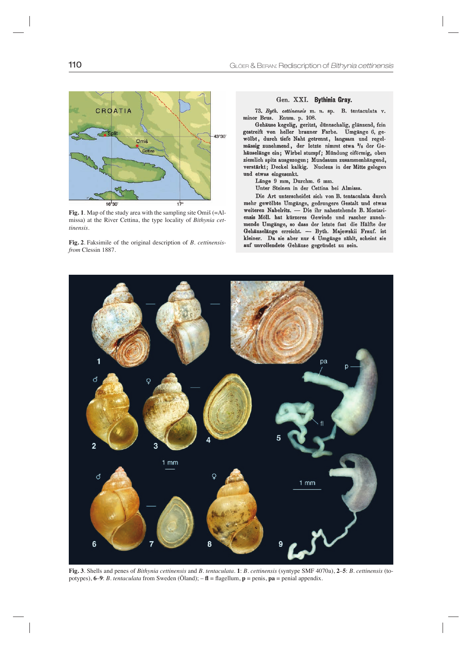

**Fig. 1**. Map of the study area with the sampling site Omiš (=Almissa) at the River Cettina, the type locality of *Bithynia cettinensis*.

**Fig. 2**. Faksimile of the original description of *B. cettinensisfrom* Clessin 1887.

#### Gen. XXI. Bythinia Gray.

73. Byth. cettinensis m. n. sp. B. tentaculata v. minor Brus. Enum. p. 108.

Gehäuse kegelig, geritzt, dünnschalig, glänzend, fein gestreift von heller brauner Farbe. Umgänge 6, gewölbt, durch tiefe Naht getrennt, langsam und regelmässig zunehmend, der letzte nimmt etwa 2/5 der Gehäuselänge ein; Wirbel stumpf; Mündung eiförmig, oben ziemlich spitz ausgezogen; Mundsaum zusammenhängend, verstärkt; Deckel kalkig. Nucleus in der Mitte gelegen und etwas eingesenkt.

Länge 9 mm, Durchm. 6 mm.

Unter Steinen in der Cettina bei Almissa.

Die Art unterscheidet sich von B. tentaculata durch mehr gewölbte Umgänge, gedrungere Gestalt und etwas weiteren Nabelritz. - Die ihr nahestehende B. Mostariensis Möll. hat kürzeres Gewinde und rascher zunelimende Umgänge, so dass der letzte fast die Hälfte der Gehäuselänge erreicht. - Byth. Majewskii Frauf. ist kleiner. Da sie aber nur 4 Umgänge zählt, scheint sie auf unvollendete Gehäuse gegründet zu sein.



**Fig. 3**. Shells and penes of *Bithynia cettinensis* and *B. tentaculata*. **1**: *B. cettinensis* (syntype SMF 4070a), **2**–**5**: *B. cettinensis* (topotypes),  $6-9$ : *B. tentaculata* from Sweden (Öland);  $- f\mathbf{l} = \text{flagellum}, \mathbf{p} = \text{penis}, \mathbf{pa} = \text{penial appendix}.$